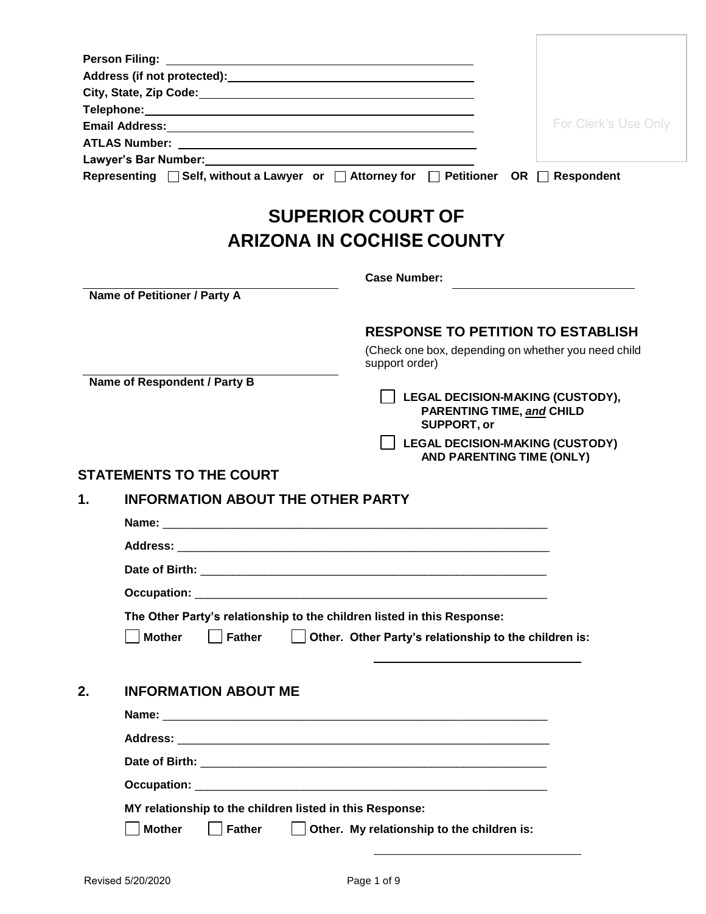|    | Email Address: No. 2014 12:20 12:20 12:20 12:20 12:20 12:20 12:20 12:20 12:20 12:20 12:20 12:20 12:20 12:20 1 |                                                                                            | For Clerk's Use Only |
|----|---------------------------------------------------------------------------------------------------------------|--------------------------------------------------------------------------------------------|----------------------|
|    |                                                                                                               |                                                                                            |                      |
|    |                                                                                                               |                                                                                            |                      |
|    | Representing □ Self, without a Lawyer or □ Attorney for □ Petitioner OR □ Respondent                          |                                                                                            |                      |
|    |                                                                                                               | <b>SUPERIOR COURT OF</b>                                                                   |                      |
|    |                                                                                                               | <b>ARIZONA IN COCHISE COUNTY</b>                                                           |                      |
|    |                                                                                                               | <b>Case Number:</b>                                                                        |                      |
|    | Name of Petitioner / Party A                                                                                  |                                                                                            |                      |
|    |                                                                                                               | <b>RESPONSE TO PETITION TO ESTABLISH</b>                                                   |                      |
|    |                                                                                                               | (Check one box, depending on whether you need child<br>support order)                      |                      |
|    | Name of Respondent / Party B                                                                                  |                                                                                            |                      |
|    |                                                                                                               | LEGAL DECISION-MAKING (CUSTODY),<br><b>PARENTING TIME, and CHILD</b><br><b>SUPPORT, or</b> |                      |
|    |                                                                                                               | <b>LEGAL DECISION-MAKING (CUSTODY)</b><br>AND PARENTING TIME (ONLY)                        |                      |
|    | <b>STATEMENTS TO THE COURT</b>                                                                                |                                                                                            |                      |
| 1. | <b>INFORMATION ABOUT THE OTHER PARTY</b>                                                                      |                                                                                            |                      |
|    |                                                                                                               |                                                                                            |                      |
|    |                                                                                                               |                                                                                            |                      |
|    |                                                                                                               |                                                                                            |                      |
|    |                                                                                                               |                                                                                            |                      |
|    |                                                                                                               |                                                                                            |                      |
|    | The Other Party's relationship to the children listed in this Response:                                       |                                                                                            |                      |
|    | <b>Father</b><br><b>Mother</b>                                                                                | Other. Other Party's relationship to the children is:                                      |                      |
| 2. | <b>INFORMATION ABOUT ME</b>                                                                                   |                                                                                            |                      |
|    |                                                                                                               |                                                                                            |                      |
|    |                                                                                                               |                                                                                            |                      |
|    |                                                                                                               |                                                                                            |                      |
|    |                                                                                                               |                                                                                            |                      |
|    | MY relationship to the children listed in this Response:                                                      |                                                                                            |                      |
|    | <b>Mother</b><br><b>Father</b>                                                                                | Other. My relationship to the children is:                                                 |                      |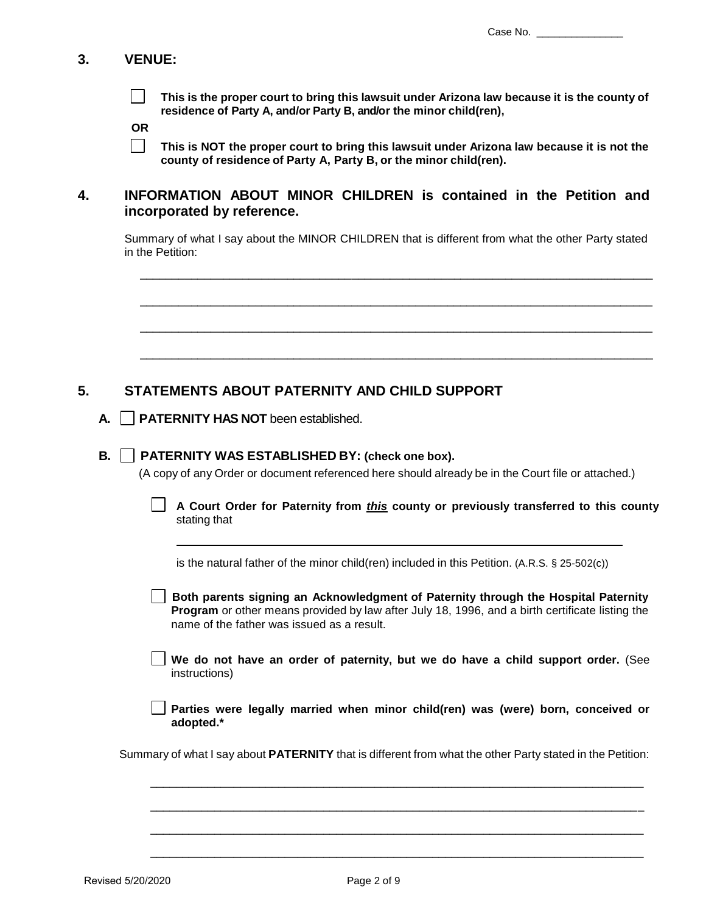# **3. VENUE:**

 $\vert \ \ \vert$ **This is the proper court to bring this lawsuit under Arizona law because it is the county of residence of Party A, and/or Party B, and/or the minor child(ren),**

**OR**

 $\Box$ **This is NOT the proper court to bring this lawsuit under Arizona law because it is not the county of residence of Party A, Party B, or the minor child(ren).**

# **4. INFORMATION ABOUT MINOR CHILDREN is contained in the Petition and incorporated by reference.**

Summary of what I say about the MINOR CHILDREN that is different from what the other Party stated in the Petition:

\_\_\_\_\_\_\_\_\_\_\_\_\_\_\_\_\_\_\_\_\_\_\_\_\_\_\_\_\_\_\_\_\_\_\_\_\_\_\_\_\_\_\_\_\_\_\_\_\_\_\_\_\_\_\_\_\_\_\_\_\_\_\_\_\_\_\_\_\_\_\_\_\_\_\_\_\_\_\_\_

\_\_\_\_\_\_\_\_\_\_\_\_\_\_\_\_\_\_\_\_\_\_\_\_\_\_\_\_\_\_\_\_\_\_\_\_\_\_\_\_\_\_\_\_\_\_\_\_\_\_\_\_\_\_\_\_\_\_\_\_\_\_\_\_\_\_\_\_\_\_\_\_\_\_\_\_\_\_\_\_

\_\_\_\_\_\_\_\_\_\_\_\_\_\_\_\_\_\_\_\_\_\_\_\_\_\_\_\_\_\_\_\_\_\_\_\_\_\_\_\_\_\_\_\_\_\_\_\_\_\_\_\_\_\_\_\_\_\_\_\_\_\_\_\_\_\_\_\_\_\_\_\_\_\_\_\_\_\_\_\_

\_\_\_\_\_\_\_\_\_\_\_\_\_\_\_\_\_\_\_\_\_\_\_\_\_\_\_\_\_\_\_\_\_\_\_\_\_\_\_\_\_\_\_\_\_\_\_\_\_\_\_\_\_\_\_\_\_\_\_\_\_\_\_\_\_\_\_\_\_\_\_\_\_\_\_\_\_\_\_\_

# **5. STATEMENTS ABOUT PATERNITY AND CHILD SUPPORT**

**A. PATERNITY HAS NOT** been established.

### **B. PATERNITY WAS ESTABLISHED BY: (check one box).**

(A copy of any Order or document referenced here should already be in the Court file or attached.)

| A Court Order for Paternity from this county or previously transferred to this county |  |
|---------------------------------------------------------------------------------------|--|
| stating that                                                                          |  |

is the natural father of the minor child(ren) included in this Petition. (A.R.S. § 25-502(c))

**Both parents signing an Acknowledgment of Paternity through the Hospital Paternity Program** or other means provided by law after July 18, 1996, and a birth certificate listing the name of the father was issued as a result.

**We do not have an order of paternity, but we do have a child support order.** (See instructions)

**Parties were legally married when minor child(ren) was (were) born, conceived or adopted.\***

Summary of what I say about **PATERNITY** that is different from what the other Party stated in the Petition:

\_\_\_\_\_\_\_\_\_\_\_\_\_\_\_\_\_\_\_\_\_\_\_\_\_\_\_\_\_\_\_\_\_\_\_\_\_\_\_\_\_\_\_\_\_\_\_\_\_\_\_\_\_\_\_\_\_\_\_\_\_\_\_\_\_\_\_\_\_\_\_\_\_\_\_\_\_

\_\_\_\_\_\_\_\_\_\_\_\_\_\_\_\_\_\_\_\_\_\_\_\_\_\_\_\_\_\_\_\_\_\_\_\_\_\_\_\_\_\_\_\_\_\_\_\_\_\_\_\_\_\_\_\_\_\_\_\_\_\_\_\_\_\_\_\_\_\_\_\_\_\_\_\_\_

\_\_\_\_\_\_\_\_\_\_\_\_\_\_\_\_\_\_\_\_\_\_\_\_\_\_\_\_\_\_\_\_\_\_\_\_\_\_\_\_\_\_\_\_\_\_\_\_\_\_\_\_\_\_\_\_\_\_\_\_\_\_\_\_\_\_\_\_\_\_\_\_\_\_\_\_\_

\_\_\_\_\_\_\_\_\_\_\_\_\_\_\_\_\_\_\_\_\_\_\_\_\_\_\_\_\_\_\_\_\_\_\_\_\_\_\_\_\_\_\_\_\_\_\_\_\_\_\_\_\_\_\_\_\_\_\_\_\_\_\_\_\_\_\_\_\_\_\_\_\_\_\_\_\_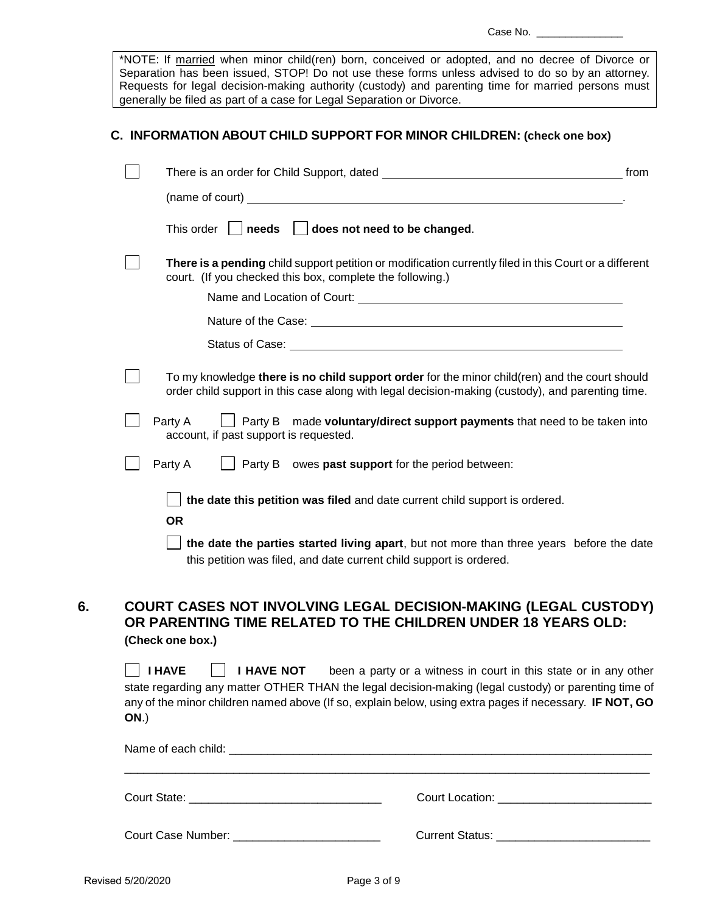\*NOTE: If married when minor child(ren) born, conceived or adopted, and no decree of Divorce or Separation has been issued, STOP! Do not use these forms unless advised to do so by an attorney. Requests for legal decision-making authority (custody) and parenting time for married persons must generally be filed as part of a case for Legal Separation or Divorce.

### **C. INFORMATION ABOUT CHILD SUPPORT FOR MINOR CHILDREN: (check one box)**

|                                                                                                                                                                                                   | from |
|---------------------------------------------------------------------------------------------------------------------------------------------------------------------------------------------------|------|
| (name of court) $\qquad \qquad$                                                                                                                                                                   |      |
| $\Box$ does not need to be changed.<br>This order     needs                                                                                                                                       |      |
| There is a pending child support petition or modification currently filed in this Court or a different<br>court. (If you checked this box, complete the following.)                               |      |
|                                                                                                                                                                                                   |      |
|                                                                                                                                                                                                   |      |
|                                                                                                                                                                                                   |      |
| To my knowledge there is no child support order for the minor child(ren) and the court should<br>order child support in this case along with legal decision-making (custody), and parenting time. |      |
| made voluntary/direct support payments that need to be taken into<br>Party A<br>Party B<br>account, if past support is requested.                                                                 |      |
| Party B owes past support for the period between:<br>Party A                                                                                                                                      |      |
| the date this petition was filed and date current child support is ordered.                                                                                                                       |      |
| <b>OR</b>                                                                                                                                                                                         |      |
| the date the parties started living apart, but not more than three years before the date<br>this petition was filed, and date current child support is ordered.                                   |      |

**6. COURT CASES NOT INVOLVING LEGAL DECISION-MAKING (LEGAL CUSTODY) OR PARENTING TIME RELATED TO THE CHILDREN UNDER 18 YEARS OLD: (Check one box.)**

 **I HAVE I HAVE NOT** been a party or a witness in court in this state or in any other state regarding any matter OTHER THAN the legal decision-making (legal custody) or parenting time of any of the minor children named above (If so, explain below, using extra pages if necessary. **IF NOT, GO ON**.)

|                                                 | Court Location: _____________________________ |  |  |  |
|-------------------------------------------------|-----------------------------------------------|--|--|--|
| Court Case Number: ____________________________ |                                               |  |  |  |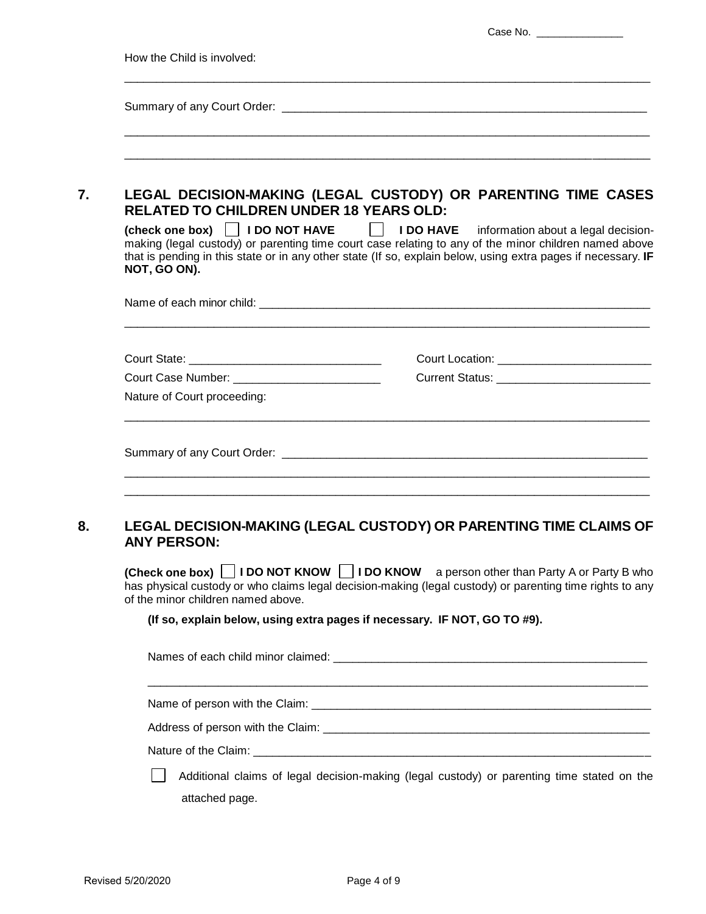| How the Child is involved:                                                                                                                                                                                                                                                                                                |                                                                                            |
|---------------------------------------------------------------------------------------------------------------------------------------------------------------------------------------------------------------------------------------------------------------------------------------------------------------------------|--------------------------------------------------------------------------------------------|
|                                                                                                                                                                                                                                                                                                                           |                                                                                            |
|                                                                                                                                                                                                                                                                                                                           |                                                                                            |
| LEGAL DECISION-MAKING (LEGAL CUSTODY) OR PARENTING TIME CASES                                                                                                                                                                                                                                                             |                                                                                            |
| <b>RELATED TO CHILDREN UNDER 18 YEARS OLD:</b>                                                                                                                                                                                                                                                                            |                                                                                            |
| (check one box)   I DO NOT HAVE   I DO HAVE information about a legal decision-<br>making (legal custody) or parenting time court case relating to any of the minor children named above<br>that is pending in this state or in any other state (If so, explain below, using extra pages if necessary. IF<br>NOT, GO ON). |                                                                                            |
|                                                                                                                                                                                                                                                                                                                           |                                                                                            |
|                                                                                                                                                                                                                                                                                                                           | Court Location: ________________________________                                           |
| Court Case Number: ____________________________                                                                                                                                                                                                                                                                           | Current Status: _______________________________                                            |
| Nature of Court proceeding:                                                                                                                                                                                                                                                                                               |                                                                                            |
|                                                                                                                                                                                                                                                                                                                           |                                                                                            |
| LEGAL DECISION-MAKING (LEGAL CUSTODY) OR PARENTING TIME CLAIMS OF                                                                                                                                                                                                                                                         |                                                                                            |
| <b>ANY PERSON:</b>                                                                                                                                                                                                                                                                                                        |                                                                                            |
| (Check one box) $\Box$ I DO NOT KNOW $\Box$ I DO KNOW a person other than Party A or Party B who<br>has physical custody or who claims legal decision-making (legal custody) or parenting time rights to any<br>of the minor children named above.                                                                        |                                                                                            |
| (If so, explain below, using extra pages if necessary. IF NOT, GO TO #9).                                                                                                                                                                                                                                                 |                                                                                            |
|                                                                                                                                                                                                                                                                                                                           |                                                                                            |
|                                                                                                                                                                                                                                                                                                                           |                                                                                            |
|                                                                                                                                                                                                                                                                                                                           |                                                                                            |
|                                                                                                                                                                                                                                                                                                                           |                                                                                            |
|                                                                                                                                                                                                                                                                                                                           |                                                                                            |
|                                                                                                                                                                                                                                                                                                                           | Additional claims of legal decision-making (legal custody) or parenting time stated on the |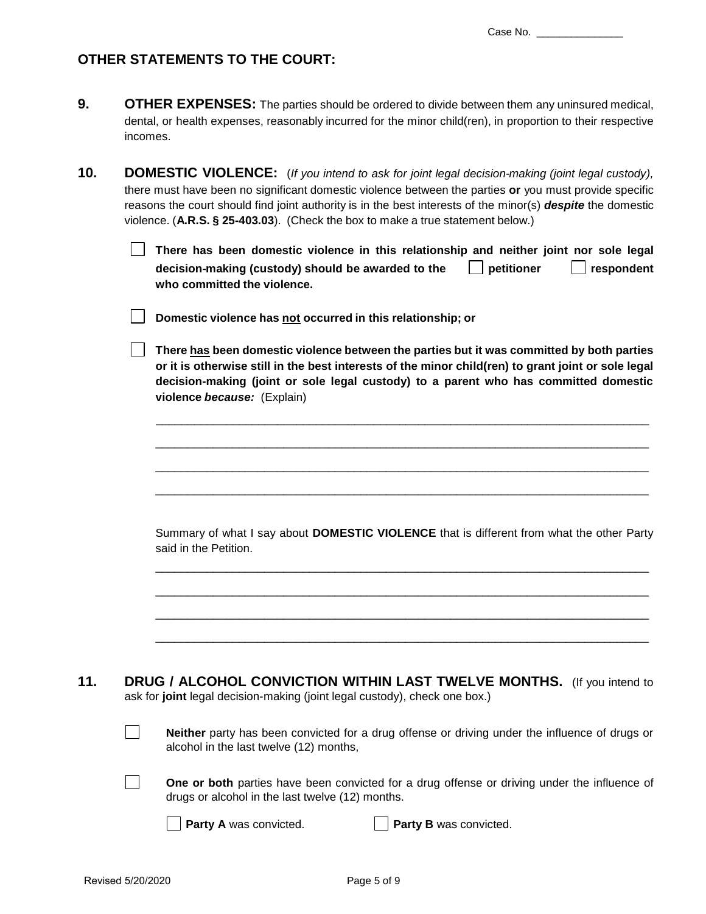# **OTHER STATEMENTS TO THE COURT:**

| <b>OTHER EXPENSES:</b> The parties should be ordered to divide between them any uninsured medical,          |
|-------------------------------------------------------------------------------------------------------------|
| dental, or health expenses, reasonably incurred for the minor child(ren), in proportion to their respective |
| incomes.                                                                                                    |

**10. DOMESTIC VIOLENCE:** (*If you intend to ask for joint legal decision-making (joint legal custody),* there must have been no significant domestic violence between the parties **or** you must provide specific reasons the court should find joint authority is in the best interests of the minor(s) *despite* the domestic violence. (**A.R.S. § 25-403.03**). (Check the box to make a true statement below.)

> **There has been domestic violence in this relationship and neither joint nor sole legal decision-making (custody) should be awarded to the definitioner and peritioner in perity of the perity of the who committed the violence.**

**Domestic violence has not occurred in this relationship; or**

**There has been domestic violence between the parties but it was committed by both parties or it is otherwise still in the best interests of the minor child(ren) to grant joint or sole legal decision-making (joint or sole legal custody) to a parent who has committed domestic violence** *because:* (Explain)

\_\_\_\_\_\_\_\_\_\_\_\_\_\_\_\_\_\_\_\_\_\_\_\_\_\_\_\_\_\_\_\_\_\_\_\_\_\_\_\_\_\_\_\_\_\_\_\_\_\_\_\_\_\_\_\_\_\_\_\_\_\_\_\_\_\_\_\_\_\_\_\_\_\_\_\_\_

\_\_\_\_\_\_\_\_\_\_\_\_\_\_\_\_\_\_\_\_\_\_\_\_\_\_\_\_\_\_\_\_\_\_\_\_\_\_\_\_\_\_\_\_\_\_\_\_\_\_\_\_\_\_\_\_\_\_\_\_\_\_\_\_\_\_\_\_\_\_\_\_\_\_\_\_\_

\_\_\_\_\_\_\_\_\_\_\_\_\_\_\_\_\_\_\_\_\_\_\_\_\_\_\_\_\_\_\_\_\_\_\_\_\_\_\_\_\_\_\_\_\_\_\_\_\_\_\_\_\_\_\_\_\_\_\_\_\_\_\_\_\_\_\_\_\_\_\_\_\_\_\_\_\_

\_\_\_\_\_\_\_\_\_\_\_\_\_\_\_\_\_\_\_\_\_\_\_\_\_\_\_\_\_\_\_\_\_\_\_\_\_\_\_\_\_\_\_\_\_\_\_\_\_\_\_\_\_\_\_\_\_\_\_\_\_\_\_\_\_\_\_\_\_\_\_\_\_\_\_\_\_

Summary of what I say about **DOMESTIC VIOLENCE** that is different from what the other Party said in the Petition.

\_\_\_\_\_\_\_\_\_\_\_\_\_\_\_\_\_\_\_\_\_\_\_\_\_\_\_\_\_\_\_\_\_\_\_\_\_\_\_\_\_\_\_\_\_\_\_\_\_\_\_\_\_\_\_\_\_\_\_\_\_\_\_\_\_\_\_\_\_\_\_\_\_\_\_\_\_

\_\_\_\_\_\_\_\_\_\_\_\_\_\_\_\_\_\_\_\_\_\_\_\_\_\_\_\_\_\_\_\_\_\_\_\_\_\_\_\_\_\_\_\_\_\_\_\_\_\_\_\_\_\_\_\_\_\_\_\_\_\_\_\_\_\_\_\_\_\_\_\_\_\_\_\_\_

\_\_\_\_\_\_\_\_\_\_\_\_\_\_\_\_\_\_\_\_\_\_\_\_\_\_\_\_\_\_\_\_\_\_\_\_\_\_\_\_\_\_\_\_\_\_\_\_\_\_\_\_\_\_\_\_\_\_\_\_\_\_\_\_\_\_\_\_\_\_\_\_\_\_\_\_\_

\_\_\_\_\_\_\_\_\_\_\_\_\_\_\_\_\_\_\_\_\_\_\_\_\_\_\_\_\_\_\_\_\_\_\_\_\_\_\_\_\_\_\_\_\_\_\_\_\_\_\_\_\_\_\_\_\_\_\_\_\_\_\_\_\_\_\_\_\_\_\_\_\_\_\_\_\_

**11. DRUG / ALCOHOL CONVICTION WITHIN LAST TWELVE MONTHS.** (If you intend to ask for **joint** legal decision-making (joint legal custody), check one box.)

| <b>Neither</b> party has been convicted for a drug offense or driving under the influence of drugs or |
|-------------------------------------------------------------------------------------------------------|
| alcohol in the last twelve (12) months,                                                               |

**One or both** parties have been convicted for a drug offense or driving under the influence of drugs or alcohol in the last twelve (12) months.

**Party A** was convicted. **Party B** was convicted.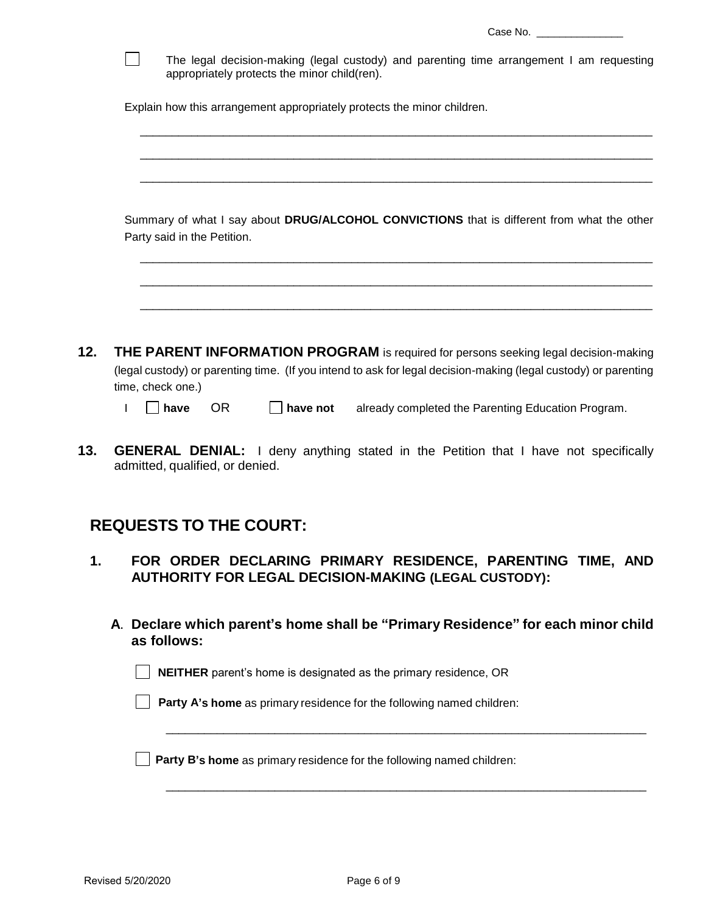| Case No. |  |
|----------|--|
|          |  |

|     | The legal decision-making (legal custody) and parenting time arrangement I am requesting<br>appropriately protects the minor child(ren).                                                                                     |
|-----|------------------------------------------------------------------------------------------------------------------------------------------------------------------------------------------------------------------------------|
|     | Explain how this arrangement appropriately protects the minor children.                                                                                                                                                      |
|     |                                                                                                                                                                                                                              |
|     | Summary of what I say about DRUG/ALCOHOL CONVICTIONS that is different from what the other<br>Party said in the Petition.                                                                                                    |
|     |                                                                                                                                                                                                                              |
| 12. | THE PARENT INFORMATION PROGRAM is required for persons seeking legal decision-making<br>(legal custody) or parenting time. (If you intend to ask for legal decision-making (legal custody) or parenting<br>time, check one.) |
|     | <b>OR</b><br>have<br>have not<br>already completed the Parenting Education Program.                                                                                                                                          |
| 13. | <b>GENERAL DENIAL:</b> I deny anything stated in the Petition that I have not specifically<br>admitted, qualified, or denied.                                                                                                |

# **REQUESTS TO THE COURT:**

- **1. FOR ORDER DECLARING PRIMARY RESIDENCE, PARENTING TIME, AND AUTHORITY FOR LEGAL DECISION-MAKING (LEGAL CUSTODY):**
	- **A**. **Declare which parent's home shall be "Primary Residence" for each minor child as follows:**

\_\_\_\_\_\_\_\_\_\_\_\_\_\_\_\_\_\_\_\_\_\_\_\_\_\_\_\_\_\_\_\_\_\_\_\_\_\_\_\_\_\_\_\_\_\_\_\_\_\_\_\_\_\_\_\_\_\_\_\_\_\_\_\_\_\_\_\_\_\_\_\_\_\_\_

\_\_\_\_\_\_\_\_\_\_\_\_\_\_\_\_\_\_\_\_\_\_\_\_\_\_\_\_\_\_\_\_\_\_\_\_\_\_\_\_\_\_\_\_\_\_\_\_\_\_\_\_\_\_\_\_\_\_\_\_\_\_\_\_\_\_\_\_\_\_\_\_\_\_\_

**NEITHER** parent's home is designated as the primary residence, OR

**Party A's home** as primary residence for the following named children:

**Party B's home** as primary residence for the following named children:

 $\overline{\phantom{a}}$ 

 $\overline{\phantom{a}}$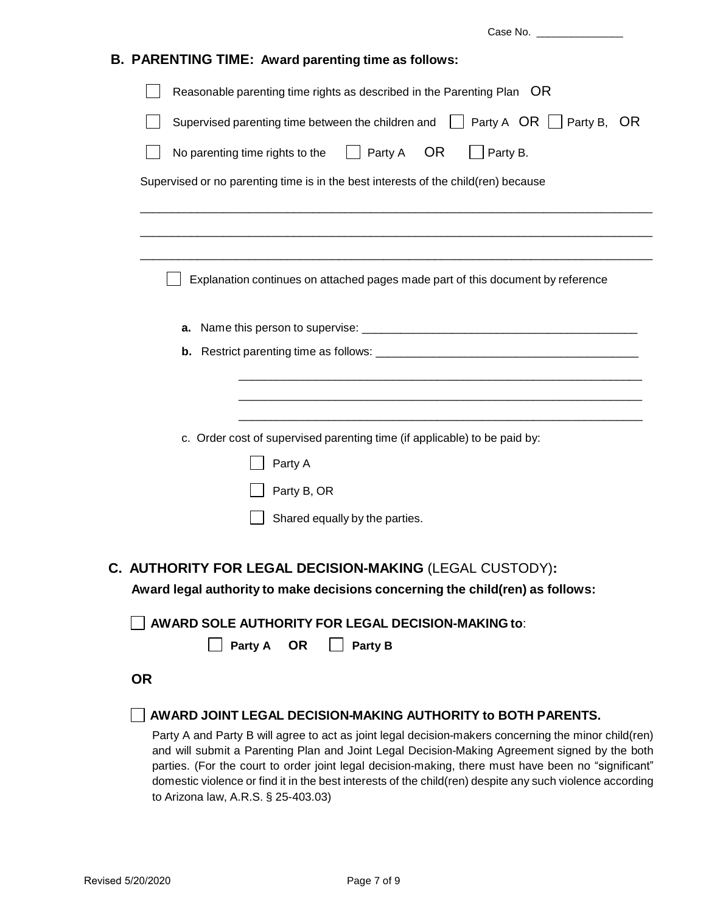Case No. \_\_\_\_\_\_\_\_\_\_\_\_\_\_\_ **B. PARENTING TIME: Award parenting time as follows:** Reasonable parenting time rights as described in the Parenting Plan OR Supervised parenting time between the children and  $\Box$  Party A OR  $\Box$  Party B, OR No parenting time rights to the  $\Box$  Party A OR  $\Box$  Party B. Supervised or no parenting time is in the best interests of the child(ren) because \_\_\_\_\_\_\_\_\_\_\_\_\_\_\_\_\_\_\_\_\_\_\_\_\_\_\_\_\_\_\_\_\_\_\_\_\_\_\_\_\_\_\_\_\_\_\_\_\_\_\_\_\_\_\_\_\_\_\_\_\_\_\_\_\_\_\_\_\_\_\_\_\_\_\_\_\_\_\_\_ \_\_\_\_\_\_\_\_\_\_\_\_\_\_\_\_\_\_\_\_\_\_\_\_\_\_\_\_\_\_\_\_\_\_\_\_\_\_\_\_\_\_\_\_\_\_\_\_\_\_\_\_\_\_\_\_\_\_\_\_\_\_\_\_\_\_\_\_\_\_\_\_\_\_\_\_\_\_\_\_ \_\_\_\_\_\_\_\_\_\_\_\_\_\_\_\_\_\_\_\_\_\_\_\_\_\_\_\_\_\_\_\_\_\_\_\_\_\_\_\_\_\_\_\_\_\_\_\_\_\_\_\_\_\_\_\_\_\_\_\_\_\_\_\_\_\_\_\_\_\_\_\_\_\_\_\_\_\_\_\_  $\Box$  Explanation continues on attached pages made part of this document by reference **a.** Name this person to supervise: \_\_\_\_\_\_\_\_\_\_\_\_\_\_\_\_\_\_\_\_\_\_\_\_\_\_\_\_\_\_\_\_\_\_\_\_\_\_\_\_\_\_\_ **b.** Restrict parenting time as follows: \_\_\_\_\_\_\_\_\_\_\_\_\_\_\_\_\_\_\_\_\_\_\_\_\_\_\_\_\_\_\_\_\_\_\_\_\_\_\_\_\_ \_\_\_\_\_\_\_\_\_\_\_\_\_\_\_\_\_\_\_\_\_\_\_\_\_\_\_\_\_\_\_\_\_\_\_\_\_\_\_\_\_\_\_\_\_\_\_\_\_\_\_\_\_\_\_\_\_\_\_\_\_\_\_ \_\_\_\_\_\_\_\_\_\_\_\_\_\_\_\_\_\_\_\_\_\_\_\_\_\_\_\_\_\_\_\_\_\_\_\_\_\_\_\_\_\_\_\_\_\_\_\_\_\_\_\_\_\_\_\_\_\_\_\_\_\_\_ \_\_\_\_\_\_\_\_\_\_\_\_\_\_\_\_\_\_\_\_\_\_\_\_\_\_\_\_\_\_\_\_\_\_\_\_\_\_\_\_\_\_\_\_\_\_\_\_\_\_\_\_\_\_\_\_\_\_\_\_\_\_\_ c. Order cost of supervised parenting time (if applicable) to be paid by: Party A Party B, OR Shared equally by the parties. **C. AUTHORITY FOR LEGAL DECISION-MAKING** (LEGAL CUSTODY)**: Award legal authority to make decisions concerning the child(ren) as follows: AWARD SOLE AUTHORITY FOR LEGAL DECISION-MAKING to**: **Party A OR Party B OR AWARD JOINT LEGAL DECISION-MAKING AUTHORITY to BOTH PARENTS.** Party A and Party B will agree to act as joint legal decision-makers concerning the minor child(ren) and will submit a Parenting Plan and Joint Legal Decision-Making Agreement signed by the both

parties. (For the court to order joint legal decision-making, there must have been no "significant" domestic violence or find it in the best interests of the child(ren) despite any such violence according to Arizona law, A.R.S. § 25-403.03)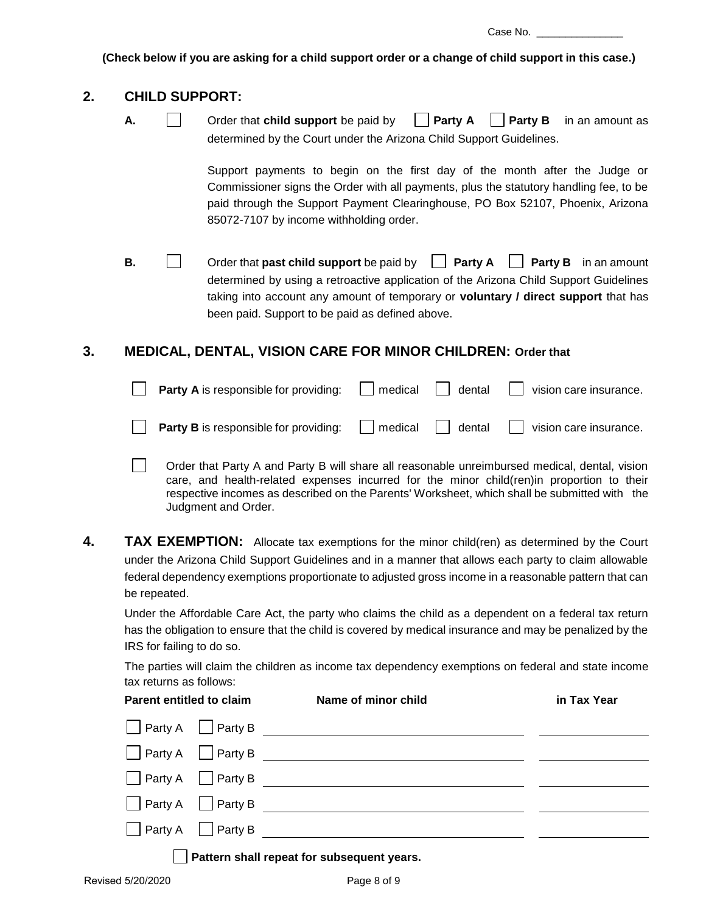Case No.

**(Check below if you are asking for a child support order or a change of child support in this case.)**

### **2. CHILD SUPPORT:**

- 
- **A. Order that child support** be paid by **Party A Party B** in an amount as determined by the Court under the Arizona Child Support Guidelines.

Support payments to begin on the first day of the month after the Judge or Commissioner signs the Order with all payments, plus the statutory handling fee, to be paid through the Support Payment Clearinghouse, PO Box 52107, Phoenix, Arizona 85072-7107 by income withholding order.

**B.**  $\Box$  Order that **past child support** be paid by  $\Box$  **Party A Party B** in an amount determined by using a retroactive application of the Arizona Child Support Guidelines taking into account any amount of temporary or **voluntary / direct support** that has been paid. Support to be paid as defined above.

# **3. MEDICAL, DENTAL, VISION CARE FOR MINOR CHILDREN: Order that**

| <b>Party A</b> is responsible for providing: $\Box$ medical $\Box$ dental $\Box$ vision care insurance. |  |  |
|---------------------------------------------------------------------------------------------------------|--|--|
| <b>Party B</b> is responsible for providing: $\Box$ medical $\Box$ dental $\Box$ vision care insurance. |  |  |

Order that Party A and Party B will share all reasonable unreimbursed medical, dental, vision care, and health-related expenses incurred for the minor child(ren)in proportion to their respective incomes as described on the Parents' Worksheet, which shall be submitted with the Judgment and Order.

**4. TAX EXEMPTION:** Allocate tax exemptions for the minor child(ren) as determined by the Court under the Arizona Child Support Guidelines and in a manner that allows each party to claim allowable federal dependency exemptions proportionate to adjusted gross income in a reasonable pattern that can be repeated.

Under the Affordable Care Act, the party who claims the child as a dependent on a federal tax return has the obligation to ensure that the child is covered by medical insurance and may be penalized by the IRS for failing to do so.

The parties will claim the children as income tax dependency exemptions on federal and state income tax returns as follows:

#### Parent entitled to claim **Name of minor child in Tax Year**

| <b>Party A</b> Party B        |                                            |  |
|-------------------------------|--------------------------------------------|--|
| $\Box$ Party A $\Box$ Party B |                                            |  |
| $\Box$ Party A $\Box$ Party B |                                            |  |
| $\Box$ Party A $\Box$ Party B |                                            |  |
| $\Box$ Party A $\Box$ Party B |                                            |  |
|                               | Pattern shall repeat for subsequent years. |  |